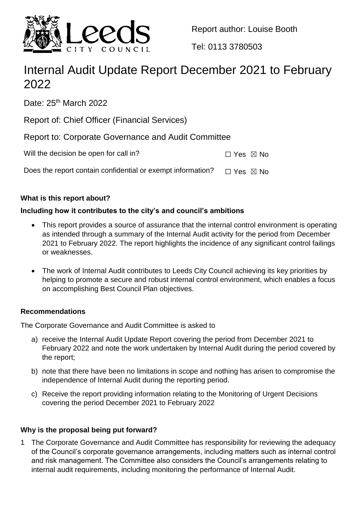

Report author: Louise Booth

Tel: 0113 3780503

# Internal Audit Update Report December 2021 to February 2022

Date: 25<sup>th</sup> March 2022

Report of: Chief Officer (Financial Services)

Report to: Corporate Governance and Audit Committee

| Will the decision be open for call in?                                                | □ Yes ⊠ No |  |
|---------------------------------------------------------------------------------------|------------|--|
| Does the report contain confidential or exempt information? $\Box$ Yes $\boxtimes$ No |            |  |

# **What is this report about?**

# **Including how it contributes to the city's and council's ambitions**

- This report provides a source of assurance that the internal control environment is operating as intended through a summary of the Internal Audit activity for the period from December 2021 to February 2022. The report highlights the incidence of any significant control failings or weaknesses.
- The work of Internal Audit contributes to Leeds City Council achieving its key priorities by helping to promote a secure and robust internal control environment, which enables a focus on accomplishing Best Council Plan objectives.

## **Recommendations**

The Corporate Governance and Audit Committee is asked to

- a) receive the Internal Audit Update Report covering the period from December 2021 to February 2022 and note the work undertaken by Internal Audit during the period covered by the report;
- b) note that there have been no limitations in scope and nothing has arisen to compromise the independence of Internal Audit during the reporting period.
- c) Receive the report providing information relating to the Monitoring of Urgent Decisions covering the period December 2021 to February 2022

# **Why is the proposal being put forward?**

1 The Corporate Governance and Audit Committee has responsibility for reviewing the adequacy of the Council's corporate governance arrangements, including matters such as internal control and risk management. The Committee also considers the Council's arrangements relating to internal audit requirements, including monitoring the performance of Internal Audit.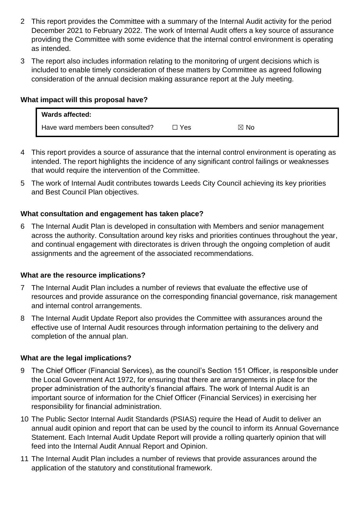- 2 This report provides the Committee with a summary of the Internal Audit activity for the period December 2021 to February 2022. The work of Internal Audit offers a key source of assurance providing the Committee with some evidence that the internal control environment is operating as intended.
- 3 The report also includes information relating to the monitoring of urgent decisions which is included to enable timely consideration of these matters by Committee as agreed following consideration of the annual decision making assurance report at the July meeting.

#### **What impact will this proposal have?**

| <b>Wards affected:</b>            |       |      |
|-----------------------------------|-------|------|
| Have ward members been consulted? | □ Yes | ⊠ No |

- 4 This report provides a source of assurance that the internal control environment is operating as intended. The report highlights the incidence of any significant control failings or weaknesses that would require the intervention of the Committee.
- 5 The work of Internal Audit contributes towards Leeds City Council achieving its key priorities and Best Council Plan objectives.

#### **What consultation and engagement has taken place?**

6 The Internal Audit Plan is developed in consultation with Members and senior management across the authority. Consultation around key risks and priorities continues throughout the year, and continual engagement with directorates is driven through the ongoing completion of audit assignments and the agreement of the associated recommendations.

#### **What are the resource implications?**

- 7 The Internal Audit Plan includes a number of reviews that evaluate the effective use of resources and provide assurance on the corresponding financial governance, risk management and internal control arrangements.
- 8 The Internal Audit Update Report also provides the Committee with assurances around the effective use of Internal Audit resources through information pertaining to the delivery and completion of the annual plan.

#### **What are the legal implications?**

- 9 The Chief Officer (Financial Services), as the council's Section 151 Officer, is responsible under the Local Government Act 1972, for ensuring that there are arrangements in place for the proper administration of the authority's financial affairs. The work of Internal Audit is an important source of information for the Chief Officer (Financial Services) in exercising her responsibility for financial administration.
- 10 The Public Sector Internal Audit Standards (PSIAS) require the Head of Audit to deliver an annual audit opinion and report that can be used by the council to inform its Annual Governance Statement. Each Internal Audit Update Report will provide a rolling quarterly opinion that will feed into the Internal Audit Annual Report and Opinion.
- 11 The Internal Audit Plan includes a number of reviews that provide assurances around the application of the statutory and constitutional framework.